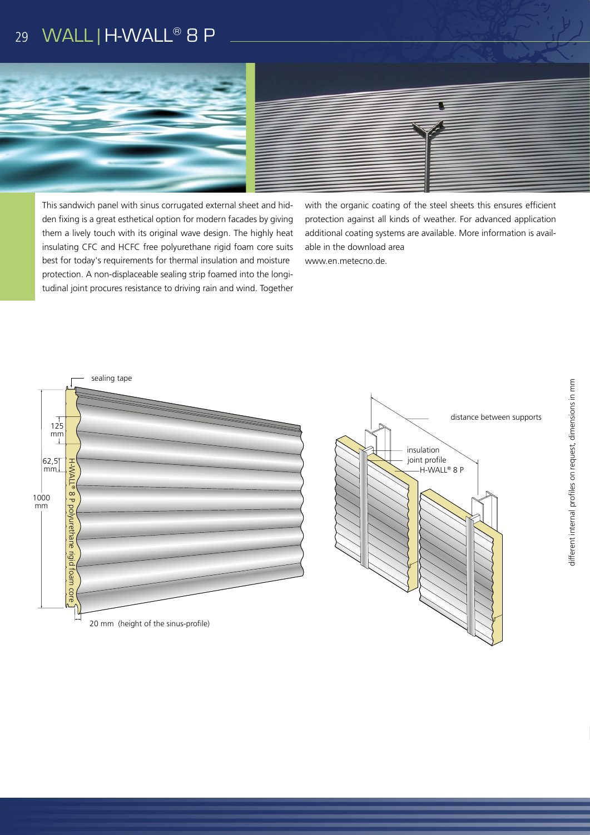### WALL | H-WALL® 8 P 29





This sandwich panel with sinus corrugated external sheet and hidden fixing is a great esthetical option for modern facades by giving them a lively touch with its original wave design. The highly heat insulating CFC and HCFC free polyurethane rigid foam core suits best for today's requirements for thermal insulation and moisture protection. A non-displaceable sealing strip foamed into the longitudinal joint procures resistance to driving rain and wind. Together

with the organic coating of the steel sheets this ensures efficient protection against all kinds of weather. For advanced application additional coating systems are available. More information is available in the download area www.en.metecno.de.



20 mm (height of the sinus-profile)